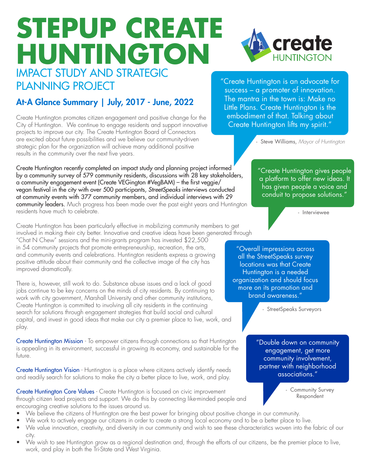# **STEPUP CREATE HUNTINGTON** IMPACT STUDY AND STRATEGIC

# At-A Glance Summary | July, 2017 - June, 2022

Create Huntington promotes citizen engagement and positive change for the City of Huntington. We continue to engage residents and support innovative projects to improve our city. The Create Huntington Board of Connectors are excited about future possibilities and we believe our community-driven strategic plan for the organization will achieve many additional positive results in the community over the next five years.

Create Huntington recently completed an impact study and planning project informed by a community survey of 579 community residents, discussions with 28 key stakeholders, a community engagement event (Create VEGington #VegBAM) – the first veggie/ vegan festival in the city with over 500 participants, *StreetSpeaks* interviews conducted at community events with 377 community members, and individual interviews with 29 community leaders. Much progress has been made over the past eight years and Huntington residents have much to celebrate.

Create Huntington has been particularly effective in mobilizing community members to get involved in making their city better. Innovative and creative ideas have been generated through

"Chat N Chew" sessions and the mini-grants program has invested \$22,500 in 54 community projects that promote entrepreneurship, recreation, the arts, and community events and celebrations. Huntington residents express a growing positive attitude about their community and the collective image of the city has improved dramatically.

There is, however, still work to do. Substance abuse issues and a lack of good jobs continue to be key concerns on the minds of city residents. By continuing to work with city government, Marshall University and other community institutions, Create Huntington is committed to involving all city residents in the continuing search for solutions through engagement strategies that build social and cultural capital, and invest in good ideas that make our city a premier place to live, work, and play.

Create Huntington Mission - To empower citizens through connections so that Huntington is appealing in its environment, successful in growing its economy, and sustainable for the future.

Create Huntington Vision - Huntington is a place where citizens actively identify needs and readily search for solutions to make the city a better place to live, work, and play.

**Create Huntington Core Values** - Create Huntington is focused on civic improvement through citizen lead projects and support. We do this by connecting like-minded people and encouraging creative solutions to the issues around us.

- We believe the citizens of Huntington are the best power for bringing about positive change in our community.
- We work to actively engage our citizens in order to create a strong local economy and to be a better place to live.
- We value innovation, creativity, and diversity in our community and wish to see these characteristics woven into the fabric of our city.
- We wish to see Huntington grow as a regional destination and, through the efforts of our citizens, be the premier place to live, work, and play in both the Tri-State and West Virginia.

PLANNING PROJECT THE CREATE THE CREATE THE CREATE THE CREATE THE PLANNING PROJECT success – a promoter of innovation. The mantra in the town is: Make no Little Plans. Create Huntington is the embodiment of that. Talking about Create Huntington lifts my spirit."

- Steve Williams, *Mayor of Huntington*

"Create Huntington gives people a platform to offer new ideas. It has given people a voice and conduit to propose solutions."

- Interviewee

"Overall impressions across all the StreetSpeaks survey locations was that Create Huntington is a needed organization and should focus more on its promotion and brand awareness."

- StreetSpeaks Surveyors

"Double down on community engagement, get more community involvement, partner with neighborhood associations."

> - Community Survey Respondent